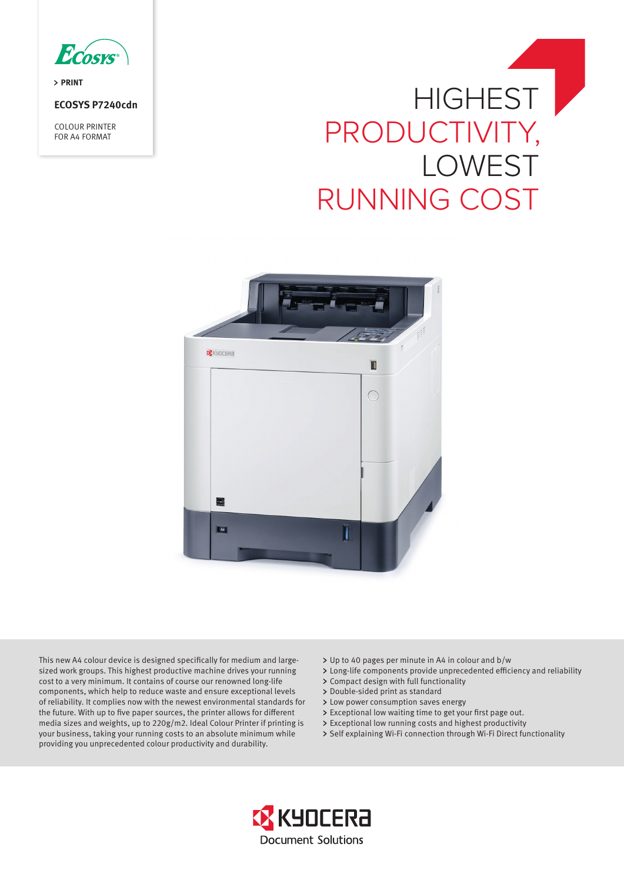

> PRINT

**ECOSYS P7240cdn** 

COLOUR PRINTER FOR A4 FORMAT

# **HIGHEST** PRODUCTIVITY, LOWEST RUNNING COST



This new A4 colour device is designed specifically for medium and largesized work groups. This highest productive machine drives your running cost to a very minimum. It contains of course our renowned long-life components, which help to reduce waste and ensure exceptional levels of reliability. It complies now with the newest environmental standards for the future. With up to five paper sources, the printer allows for different media sizes and weights, up to 220g/m2. Ideal Colour Printer if printing is your business, taking your running costs to an absolute minimum while providing you unprecedented colour productivity and durability.

- Up to 40 pages per minute in A4 in colour and b/w
- Long-life components provide unprecedented efficiency and reliability
- Compact design with full functionality
- > Double-sided print as standard
- > Low power consumption saves energy
- Exceptional low waiting time to get your first page out.
- Exceptional low running costs and highest productivity
- > Self explaining Wi-Fi connection through Wi-Fi Direct functionality